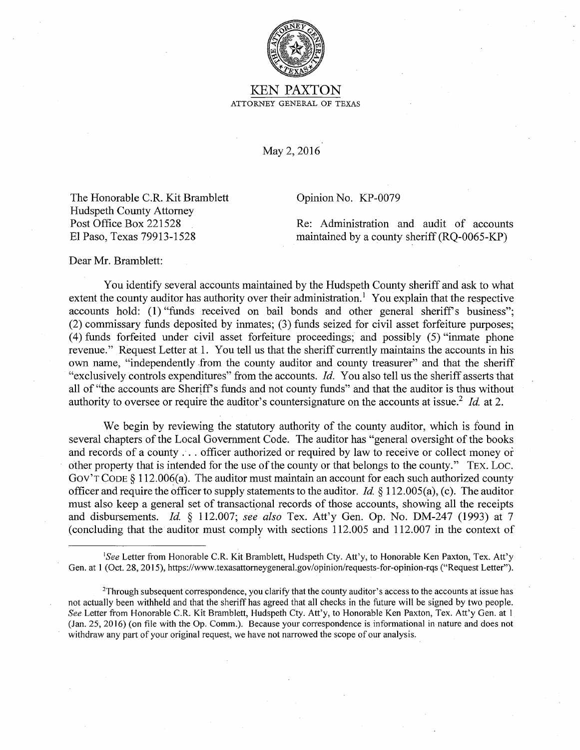

## KEN **PAXTON**  ATTORNEY GENERAL OF TEXAS

May 2, 2016

The Honorable C.R. Kit Bramblett Hudspeth County Attorney Post Office Box 221528 El Paso, Texas 79913-1528

Opinion No. KP-0079

Re: Administration and audit of accounts maintained by a county sheriff (RQ-0065-KP)

Dear Mr. Bramblett:

You identify several accounts maintained by the Hudspeth County sheriff and ask to what extent the county auditor has authority over their administration.<sup>1</sup> You explain that the respective accounts hold: **(1)** "funds received on bail bonds and other general sheriff's business"; (2) commissary funds deposited by inmates; (3) funds seized for civil asset forfeiture purposes; (4) funds forfeited under civil asset forfeiture proceedings; and possibly (5) "inmate phone revenue." Request Letter at 1. You tell us that the sheriff currently maintains the accounts in his own name, "independently from the county auditor and county treasurer" and that the sheriff "exclusively controls expenditures" from the accounts. *Id.* You also tell us the sheriff asserts that all of "the accounts are Sheriff's funds and not county funds" and that the auditor is thus without authority to oversee or require the auditor's countersignature on the accounts at issue.<sup>2</sup> Id. at 2.

We begin by reviewing the statutory authority of the county auditor, which is found in several chapters of the Local Government Code. The auditor has "general oversight of the books and records of a county ... officer authorized or required by law to receive or collect money or other property that is intended for the use of the county or that belongs to the county." TEX. LOC. Gov'T CODE§ 112.006(a). The auditor must maintain an account for each such authorized county officer and require the officer to supply statements to the auditor. *Id.*  $\S$  112.005(a), (c). The auditor must also keep a general set of transactional records of those accounts, showing all the receipts and disbursements. *Id* § 112.007; *see also* Tex. Att'y Gen. Op. No. DM-247 (1993) at 7 (concluding that the auditor must comply with sections 112.005 and 112.007 in the context of

<sup>&</sup>lt;sup>1</sup>See Letter from Honorable C.R. Kit Bramblett, Hudspeth Cty. Att'y, to Honorable Ken Paxton, Tex. Att'y Gen. at 1 (Oct. 28, 2015), https://www.texasattorneygeneral.gov/opinion/requests-for-opinion-rqs ("Request Letter").

<sup>2</sup> Through subsequent correspondence, you clarify that the county auditor's access to the accounts at issue has not actually been withheld and that the sheriff has agreed that all checks in the future will be signed by two people. *See* Letter from Honorable C.R. Kit Bramblett, Hudspeth Cty. Att'y, to Honorable Ken Paxton, Tex. Att'y Gen. at I (Jan. 25, 2016) (on file with the Op. Comm.). Because your correspondence is informational in nature and does not withdraw any part of your original request, we have not narrowed the scope of our analysis.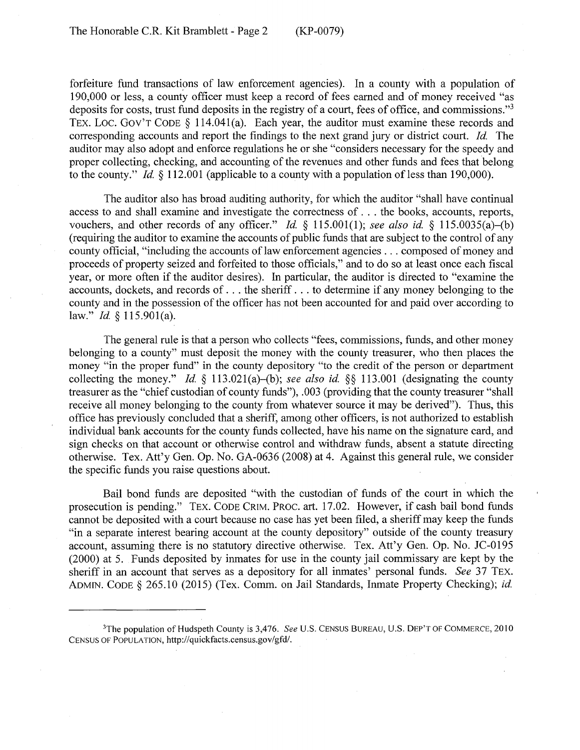forfeiture fund transactions of law enforcement agencies). In a county with a population of 190,000 or less, a county officer must keep a record of fees earned and of money received "as deposits for costs, trust fund deposits in the registry of a court, fees of office, and commissions."3 TEX. LOC. GOV'T CODE  $\S$  114.041(a). Each year, the auditor must examine these records and corresponding accounts and report the findings to the next grand jury or district court. *Id.* The auditor may also adopt and enforce regulations he or she "considers necessary for the speedy and proper collecting, checking, and accounting of the revenues and other funds and fees that belong to the county." *Id.* § 112.001 (applicable to a county with a population of less than 190,000).

The auditor also has broad auditing authority, for which the auditor "shall have continual access to and shall examine and investigate the correctness of ... the books, accounts, reports, vouchers, and other records of any officer." *Id.* § 115.001(1); *see also id.* § 115.0035(a)-(b) (requiring the auditor to examine the accounts of public funds that are subject to the control of any county official, "including the accounts of law enforcement agencies ... composed of money and proceeds of property seized and forfeited to those officials," and to do so at least once each fiscal year, or more often if the auditor desires). In particular, the auditor is directed to "examine the accounts, dockets, and records of ... the sheriff ... to determine if any money belonging to the county and in the possession of the officer has not been accounted for and paid over according to law." *Id.* § 115.901(a).

The general rule is that a person who collects "fees, commissions, funds, and other money belonging to a county" must deposit the money with the county treasurer, who then places the money "in the proper fund" in the county depository "to the credit of the person or department collecting the money." *Id.* § 113.021(a)-(b); *see also id.* §§ 113.001 (designating the county treasurer as the "chief custodian of county funds"), .003 (providing that the county treasurer "shall receive all money belonging to the county from whatever source it may be derived"). Thus, this office has previously concluded that a sheriff, among other officers, is not authorized to establish individual bank accounts for the county funds collected, have his name on the signature card, and sign checks on that account or otherwise control and withdraw funds, absent a statute directing otherwise. Tex. Att'y Gen. Op. No. GA-0636 (2008) at 4. Against this general rule, we consider the specific funds you raise questions about.

Bail bond funds are deposited "with the custodian of funds of the court in which the prosecution is pending." TEX. CODE CRIM. PROC. art. 17.02. However, if cash bail bond funds cannot be deposited with a court because no case has yet been filed, a sheriff may keep the funds "in a separate interest bearing account at the county depository" outside of the county treasury account, assuming there is no statutory directive otherwise. Tex. Att'y Gen. Op. No. JC-0195 (2000) at 5. Funds deposited by inmates for use in the county jail commissary are kept by the sheriff in an account that serves as a depository for all inmates' personal funds. *See* 37 TEX. ADMIN. CODE § 265.10 (2015) (Tex. Comm. on Jail Standards, Inmate Property Checking); *id.* 

<sup>3</sup>The population of Hudspeth County is 3,476. *See* U.S. CENSUS BUREAU, U.S. DEP'T OF COMMERCE, 2010 CENSUS OF POPULATION, http://quickfacts.census.gov/gfd/.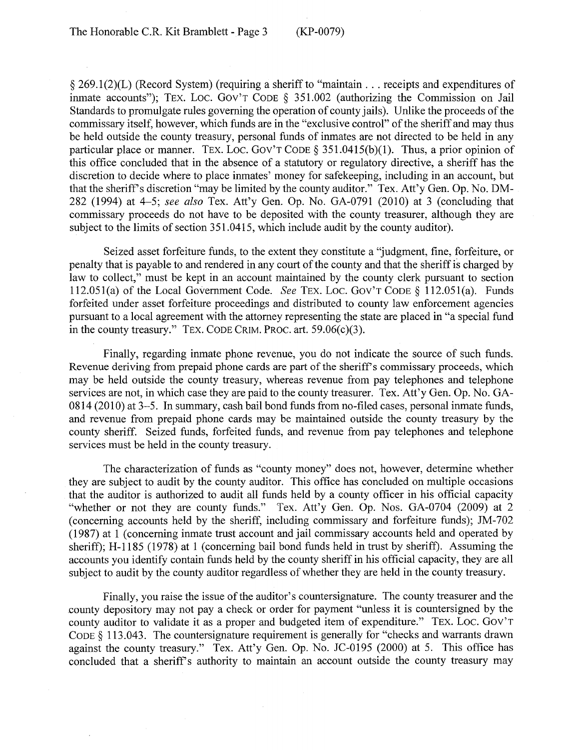§ 269.1(2)(L) (Record System) (requiring a sheriff to "maintain ... receipts and expenditures of inmate accounts"); TEX. LOC. GOV'T CODE § 351.002 (authorizing the Commission on Jail Standards to promulgate rules governing the operation of county jails). Unlike the proceeds of the commissary itself, however, which funds are in the "exclusive control" of the sheriff and may thus be held outside the county treasury, personal funds of inmates are not directed to be held in any particular place or manner. TEX. Loc. GOV'T CODE §  $351.0415(b)(1)$ . Thus, a prior opinion of this office concluded that in the absence of a statutory or regulatory directive, a sheriff has the discretion to decide where to place inmates' money for safekeeping, including in an account, but that the sheriff's discretion "may be limited by the county auditor." Tex. Att'y Gen. Op. No. DM-282 (1994) at 4-5; *see also* Tex. Att'y Gen. Op. No. GA-0791 (2010) at 3 (concluding that commissary proceeds do not have to be deposited with the county treasurer, although they are subject to the limits of section 351.0415, which include audit by the county auditor).

Seized asset forfeiture funds, to the extent they constitute a "judgment, fine, forfeiture, or penalty that is payable to and rendered in any court of the county and that the sheriff is charged by law to collect," must be kept in an account maintained by the county clerk pursuant to section 112.05l(a) of the Local Government Code. *See* TEX. Loe. Gov'T CODE§ l 12.05l(a). Funds forfeited under asset forfeiture proceedings and distributed to county law enforcement agencies pursuant to a local agreement with the attorney representing the state are placed in "a special fund in the county treasury." TEX. CODE CRIM. PROC. art. 59.06(c)(3).

Finally, regarding inmate phone revenue, you do not indicate the source of such funds. Revenue deriving from prepaid phone cards are part of the sheriff's commissary proceeds, which may be held outside the county treasury, whereas revenue from pay telephones and telephone services are not, in which case they are paid to the county treasurer. Tex. Att'y Gen. Op. No. GA-0814 (2010) at 3-5. In summary, cash bail bond funds from no-filed cases, personal inmate funds, and revenue from prepaid phone cards may be maintained outside the county treasury by the county sheriff. Seized funds, forfeited funds, and revenue from pay telephones and telephone services must be held in the county treasury.

The characterization of funds as "county money" does not, however, determine whether they are subject to audit by the county auditor. This office has concluded on multiple occasions that the auditor is authorized to audit all funds held by a county officer in his official capacity "whether or not they are county funds." Tex. Att'y Gen. Op. Nos. GA-0704 (2009) at 2 (concerning accounts held by the sheriff, including commissary and forfeiture funds); JM-702 ( 1987) at 1 (concerning inmate trust account and jail commissary accounts held and operated by sheriff); H-1185 (1978) at 1 (concerning bail bond funds held in trust by sheriff). Assuming the accounts you identify contain funds held by the county sheriff in his official capacity, they are all subject to audit by the county auditor regardless of whether they are held in the county treasury.

Finally, you raise the issue of the auditor's countersignature. The county treasurer and the .county depository may not pay a check or order for payment "unless it is countersigned by the county auditor to validate it as a proper and budgeted item of expenditure." TEX. LOC. GOV'T CODE§ 113.043. The countersignature requirement is generally for "checks and warrants drawn against the county treasury." Tex. Att'y Gen. Op. No. JC-0195 (2000) at 5. This office has concluded that a sheriff's authority to maintain an account outside the county treasury may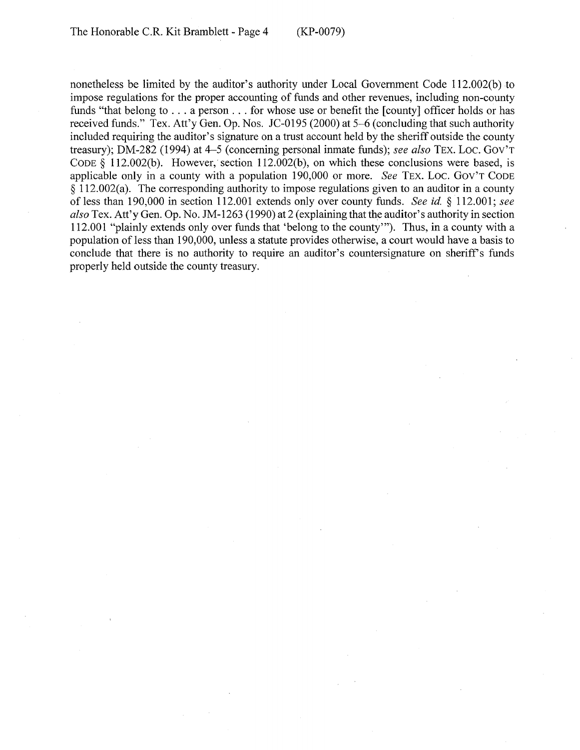nonetheless be limited by the auditor's authority under Local Government Code l 12.002(b) to impose regulations for the proper accounting of funds and other revenues, including non-county funds "that belong to ... a person ... for whose use or benefit the [county] officer holds or has received funds." Tex. Att'y Gen. Op. Nos. JC-0195 (2000) at 5-6 (concluding that such authority included requiring the auditor's signature on a trust account held by the sheriff outside the county treasury); DM-282 (1994) at 4–5 (concerning personal inmate funds); *see also* TEX. LOC. GOV'T CODE § l 12.002(b). However, section 112.002(b), on which these conclusions were based, is applicable only in a county with a population 190,000 or more. *See TEX. LOC. GOV'T CODE* § 112.002(a). The corresponding authority to impose regulations given to an auditor in a county of less than 190,000 in section 112.001 extends only over county funds. *See id.* § 112.001; *see*  also Tex. Att'y Gen. Op. No. JM-1263 (1990) at 2 (explaining that the auditor's authority in section 112.001 "plainly extends only over funds that 'belong to the county"'). Thus, in a county with a population of less than 190,000, unless a statute provides otherwise, a court would have a basis to conclude that there is no authority to require an auditor's countersignature on sheriff's funds properly held outside the county treasury.